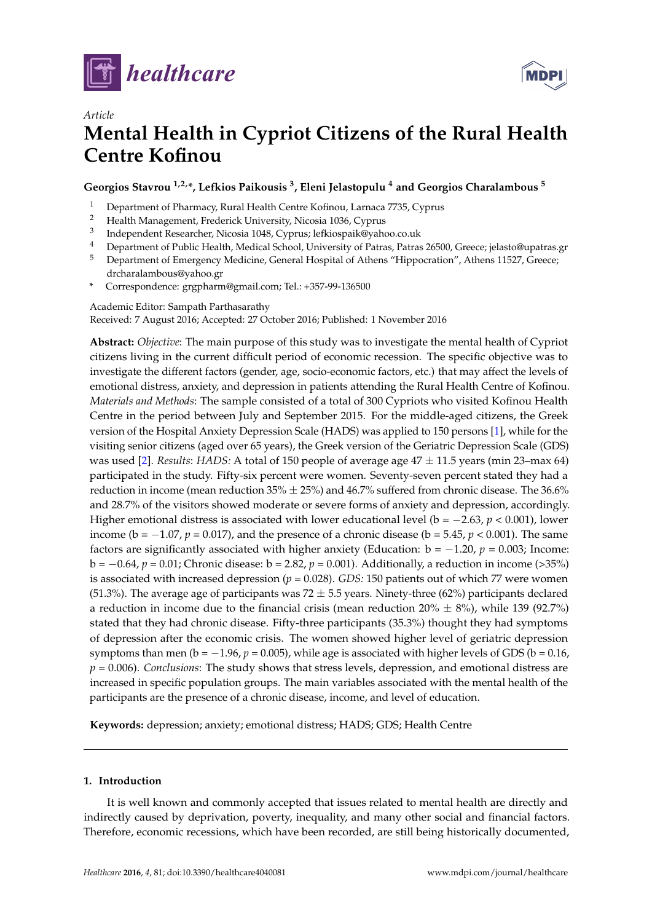



# *Article* **Mental Health in Cypriot Citizens of the Rural Health Centre Kofinou**

**Georgios Stavrou 1,2,\*, Lefkios Paikousis <sup>3</sup> , Eleni Jelastopulu <sup>4</sup> and Georgios Charalambous <sup>5</sup>**

- <sup>1</sup> Department of Pharmacy, Rural Health Centre Kofinou, Larnaca 7735, Cyprus
- <sup>2</sup> Health Management, Frederick University, Nicosia 1036, Cyprus
- 3 Independent Researcher, Nicosia 1048, Cyprus; lefkiospaik@yahoo.co.uk
- <sup>4</sup> Department of Public Health, Medical School, University of Patras, Patras 26500, Greece; jelasto@upatras.gr
- <sup>5</sup> Department of Emergency Medicine, General Hospital of Athens "Hippocration", Athens 11527, Greece; drcharalambous@yahoo.gr
- **\*** Correspondence: grgpharm@gmail.com; Tel.: +357-99-136500

### Academic Editor: Sampath Parthasarathy

Received: 7 August 2016; Accepted: 27 October 2016; Published: 1 November 2016

**Abstract:** *Objective*: The main purpose of this study was to investigate the mental health of Cypriot citizens living in the current difficult period of economic recession. The specific objective was to investigate the different factors (gender, age, socio-economic factors, etc.) that may affect the levels of emotional distress, anxiety, and depression in patients attending the Rural Health Centre of Kofinou. *Materials and Methods*: The sample consisted of a total of 300 Cypriots who visited Kofinou Health Centre in the period between July and September 2015. For the middle-aged citizens, the Greek version of the Hospital Anxiety Depression Scale (HADS) was applied to 150 persons [\[1\]](#page-6-0), while for the visiting senior citizens (aged over 65 years), the Greek version of the Geriatric Depression Scale (GDS) was used [\[2\]](#page-6-1). *Results*: *HADS:* A total of 150 people of average age 47 ± 11.5 years (min 23–max 64) participated in the study. Fifty-six percent were women. Seventy-seven percent stated they had a reduction in income (mean reduction  $35\% \pm 25\%$ ) and  $46.7\%$  suffered from chronic disease. The  $36.6\%$ and 28.7% of the visitors showed moderate or severe forms of anxiety and depression, accordingly. Higher emotional distress is associated with lower educational level (b = −2.63, *p* < 0.001), lower income ( $b = -1.07$ ,  $p = 0.017$ ), and the presence of a chronic disease ( $b = 5.45$ ,  $p < 0.001$ ). The same factors are significantly associated with higher anxiety (Education:  $b = -1.20$ ,  $p = 0.003$ ; Income: b = −0.64, *p* = 0.01; Chronic disease: b = 2.82, *p* = 0.001). Additionally, a reduction in income (>35%) is associated with increased depression (*p* = 0.028). *GDS:* 150 patients out of which 77 were women (51.3%). The average age of participants was 72  $\pm$  5.5 years. Ninety-three (62%) participants declared a reduction in income due to the financial crisis (mean reduction  $20\% \pm 8\%$ ), while 139 (92.7%) stated that they had chronic disease. Fifty-three participants (35.3%) thought they had symptoms of depression after the economic crisis. The women showed higher level of geriatric depression symptoms than men ( $b = -1.96$ ,  $p = 0.005$ ), while age is associated with higher levels of GDS ( $b = 0.16$ , *p* = 0.006). *Conclusions*: The study shows that stress levels, depression, and emotional distress are increased in specific population groups. The main variables associated with the mental health of the participants are the presence of a chronic disease, income, and level of education.

**Keywords:** depression; anxiety; emotional distress; HADS; GDS; Health Centre

# **1. Introduction**

It is well known and commonly accepted that issues related to mental health are directly and indirectly caused by deprivation, poverty, inequality, and many other social and financial factors. Therefore, economic recessions, which have been recorded, are still being historically documented,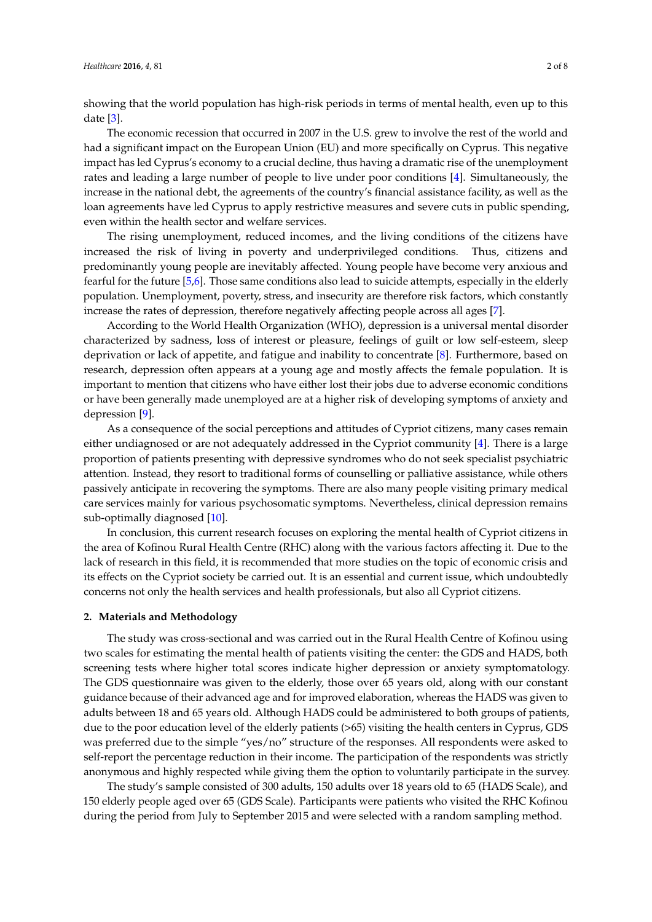showing that the world population has high-risk periods in terms of mental health, even up to this date [\[3\]](#page-6-2).

The economic recession that occurred in 2007 in the U.S. grew to involve the rest of the world and had a significant impact on the European Union (EU) and more specifically on Cyprus. This negative impact has led Cyprus's economy to a crucial decline, thus having a dramatic rise of the unemployment rates and leading a large number of people to live under poor conditions [\[4\]](#page-6-3). Simultaneously, the increase in the national debt, the agreements of the country's financial assistance facility, as well as the loan agreements have led Cyprus to apply restrictive measures and severe cuts in public spending, even within the health sector and welfare services.

The rising unemployment, reduced incomes, and the living conditions of the citizens have increased the risk of living in poverty and underprivileged conditions. Thus, citizens and predominantly young people are inevitably affected. Young people have become very anxious and fearful for the future [\[5](#page-6-4)[,6\]](#page-6-5). Those same conditions also lead to suicide attempts, especially in the elderly population. Unemployment, poverty, stress, and insecurity are therefore risk factors, which constantly increase the rates of depression, therefore negatively affecting people across all ages [\[7\]](#page-6-6).

According to the World Health Organization (WHO), depression is a universal mental disorder characterized by sadness, loss of interest or pleasure, feelings of guilt or low self-esteem, sleep deprivation or lack of appetite, and fatigue and inability to concentrate [\[8\]](#page-6-7). Furthermore, based on research, depression often appears at a young age and mostly affects the female population. It is important to mention that citizens who have either lost their jobs due to adverse economic conditions or have been generally made unemployed are at a higher risk of developing symptoms of anxiety and depression [\[9\]](#page-6-8).

As a consequence of the social perceptions and attitudes of Cypriot citizens, many cases remain either undiagnosed or are not adequately addressed in the Cypriot community [\[4\]](#page-6-3). There is a large proportion of patients presenting with depressive syndromes who do not seek specialist psychiatric attention. Instead, they resort to traditional forms of counselling or palliative assistance, while others passively anticipate in recovering the symptoms. There are also many people visiting primary medical care services mainly for various psychosomatic symptoms. Nevertheless, clinical depression remains sub-optimally diagnosed [\[10\]](#page-7-0).

In conclusion, this current research focuses on exploring the mental health of Cypriot citizens in the area of Kofinou Rural Health Centre (RHC) along with the various factors affecting it. Due to the lack of research in this field, it is recommended that more studies on the topic of economic crisis and its effects on the Cypriot society be carried out. It is an essential and current issue, which undoubtedly concerns not only the health services and health professionals, but also all Cypriot citizens.

### **2. Materials and Methodology**

The study was cross-sectional and was carried out in the Rural Health Centre of Kofinou using two scales for estimating the mental health of patients visiting the center: the GDS and HADS, both screening tests where higher total scores indicate higher depression or anxiety symptomatology. The GDS questionnaire was given to the elderly, those over 65 years old, along with our constant guidance because of their advanced age and for improved elaboration, whereas the HADS was given to adults between 18 and 65 years old. Although HADS could be administered to both groups of patients, due to the poor education level of the elderly patients (>65) visiting the health centers in Cyprus, GDS was preferred due to the simple "yes/no" structure of the responses. All respondents were asked to self-report the percentage reduction in their income. The participation of the respondents was strictly anonymous and highly respected while giving them the option to voluntarily participate in the survey.

The study's sample consisted of 300 adults, 150 adults over 18 years old to 65 (HADS Scale), and 150 elderly people aged over 65 (GDS Scale). Participants were patients who visited the RHC Kofinou during the period from July to September 2015 and were selected with a random sampling method.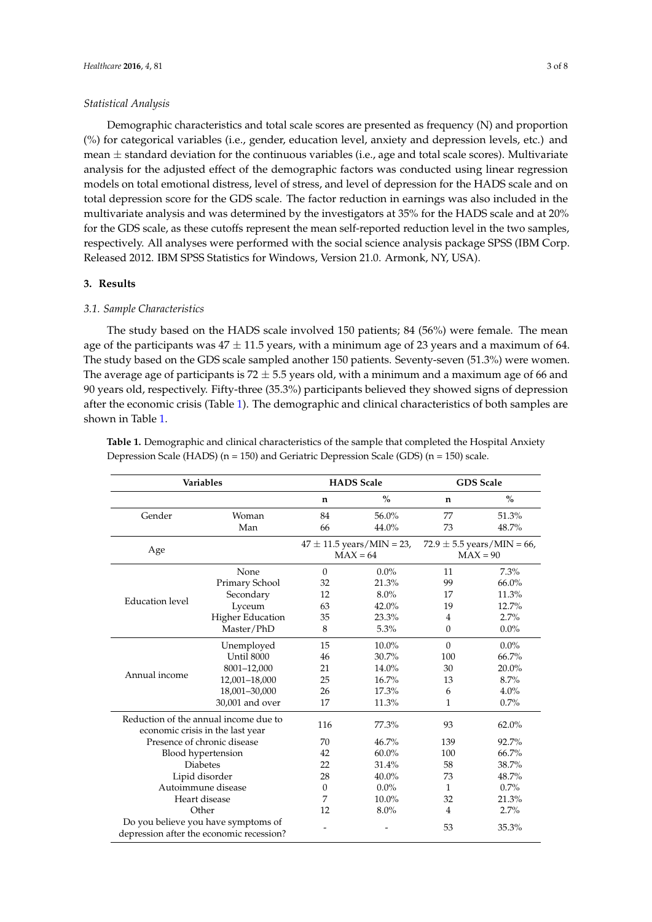#### *Statistical Analysis*

Demographic characteristics and total scale scores are presented as frequency (N) and proportion (%) for categorical variables (i.e., gender, education level, anxiety and depression levels, etc.) and mean  $\pm$  standard deviation for the continuous variables (i.e., age and total scale scores). Multivariate analysis for the adjusted effect of the demographic factors was conducted using linear regression models on total emotional distress, level of stress, and level of depression for the HADS scale and on total depression score for the GDS scale. The factor reduction in earnings was also included in the multivariate analysis and was determined by the investigators at 35% for the HADS scale and at 20% for the GDS scale, as these cutoffs represent the mean self-reported reduction level in the two samples, respectively. All analyses were performed with the social science analysis package SPSS (IBM Corp. Released 2012. IBM SPSS Statistics for Windows, Version 21.0. Armonk, NY, USA).

### **3. Results**

### *3.1. Sample Characteristics*

The study based on the HADS scale involved 150 patients; 84 (56%) were female. The mean age of the participants was  $47 \pm 11.5$  years, with a minimum age of 23 years and a maximum of 64. The study based on the GDS scale sampled another 150 patients. Seventy-seven (51.3%) were women. The average age of participants is  $72 \pm 5.5$  years old, with a minimum and a maximum age of 66 and 90 years old, respectively. Fifty-three (35.3%) participants believed they showed signs of depression after the economic crisis (Table [1\)](#page-2-0). The demographic and clinical characteristics of both samples are shown in Table [1.](#page-2-0)

<span id="page-2-0"></span>**Table 1.** Demographic and clinical characteristics of the sample that completed the Hospital Anxiety Depression Scale (HADS) (n = 150) and Geriatric Depression Scale (GDS) (n = 150) scale.

| <b>Variables</b>                                                                |                         | <b>HADS</b> Scale |                                                                                             | <b>GDS</b> Scale |         |
|---------------------------------------------------------------------------------|-------------------------|-------------------|---------------------------------------------------------------------------------------------|------------------|---------|
|                                                                                 |                         | n                 | $\%$                                                                                        | n                | $\%$    |
| Gender                                                                          | Woman                   | 84                | 56.0%                                                                                       | 77               | 51.3%   |
|                                                                                 | Man                     | 66                | 44.0%                                                                                       | 73               | 48.7%   |
| Age                                                                             |                         |                   | $47 \pm 11.5$ years/MIN = 23,<br>$72.9 \pm 5.5$ years/MIN = 66,<br>$MAX = 64$<br>$MAX = 90$ |                  |         |
|                                                                                 | None                    | $\Omega$          | $0.0\%$                                                                                     | 11               | 7.3%    |
|                                                                                 | Primary School          | 32                | 21.3%                                                                                       | 99               | 66.0%   |
|                                                                                 | Secondary               | 12                | $8.0\%$                                                                                     | 17               | 11.3%   |
| Education level                                                                 | Lyceum                  | 63                | 42.0%                                                                                       | 19               | 12.7%   |
|                                                                                 | <b>Higher Education</b> | 35                | 23.3%                                                                                       | 4                | 2.7%    |
|                                                                                 | Master/PhD              | 8                 | 5.3%                                                                                        | $\theta$         | $0.0\%$ |
|                                                                                 | Unemployed              | 15                | 10.0%                                                                                       | $\theta$         | $0.0\%$ |
|                                                                                 | Until 8000              | 46                | 30.7%                                                                                       | 100              | 66.7%   |
|                                                                                 | 8001-12,000             | 21                | 14.0%                                                                                       | 30               | 20.0%   |
| Annual income                                                                   | 12,001-18,000           | 25                | 16.7%                                                                                       | 13               | 8.7%    |
|                                                                                 | 18,001-30,000           | 26                | 17.3%                                                                                       | 6                | 4.0%    |
|                                                                                 | 30,001 and over         | 17                | 11.3%                                                                                       | 1                | 0.7%    |
| Reduction of the annual income due to<br>economic crisis in the last year       |                         | 116               | 77.3%                                                                                       | 93               | 62.0%   |
| Presence of chronic disease                                                     |                         | 70                | 46.7%                                                                                       | 139              | 92.7%   |
| Blood hypertension                                                              |                         | 42                | $60.0\%$                                                                                    | 100              | 66.7%   |
| <b>Diabetes</b>                                                                 |                         | 22                | 31.4%                                                                                       | 58               | 38.7%   |
| Lipid disorder                                                                  |                         | 28                | 40.0%                                                                                       | 73               | 48.7%   |
| Autoimmune disease                                                              |                         | $\Omega$          | $0.0\%$                                                                                     | $\mathbf{1}$     | 0.7%    |
| Heart disease                                                                   |                         | 7                 | 10.0%                                                                                       | 32               | 21.3%   |
| Other                                                                           |                         | 12                | 8.0%                                                                                        | $\overline{4}$   | 2.7%    |
| Do you believe you have symptoms of<br>depression after the economic recession? |                         |                   |                                                                                             | 53               | 35.3%   |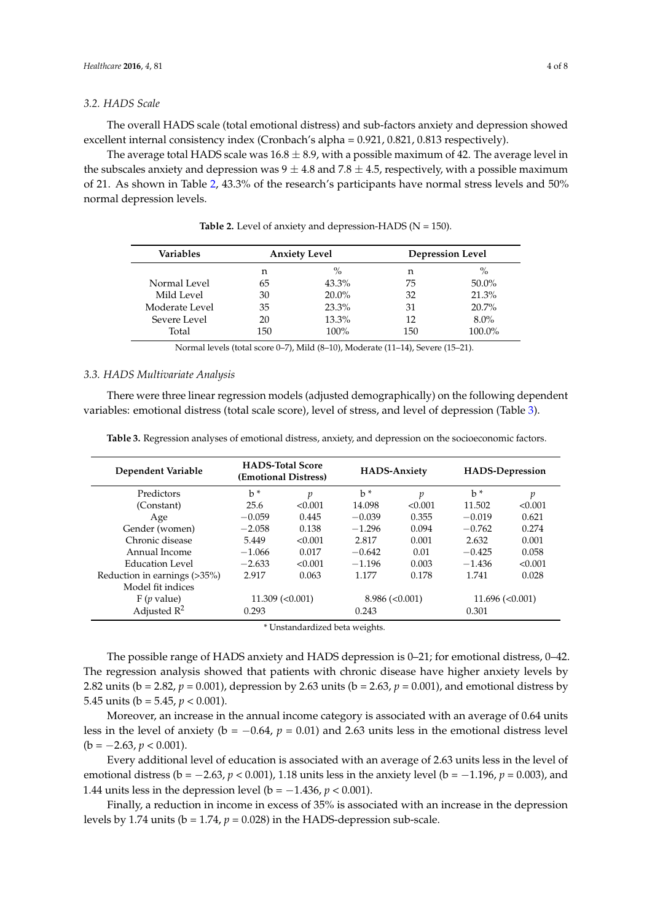### *3.2. HADS Scale*

The overall HADS scale (total emotional distress) and sub-factors anxiety and depression showed excellent internal consistency index (Cronbach's alpha = 0.921, 0.821, 0.813 respectively).

The average total HADS scale was  $16.8 \pm 8.9$ , with a possible maximum of 42. The average level in the subscales anxiety and depression was  $9 \pm 4.8$  and 7.8  $\pm 4.5$ , respectively, with a possible maximum of 21. As shown in Table [2,](#page-3-0) 43.3% of the research's participants have normal stress levels and 50% normal depression levels.

<span id="page-3-0"></span>

| Variables      | <b>Anxiety Level</b> |               | <b>Depression Level</b> |          |  |
|----------------|----------------------|---------------|-------------------------|----------|--|
|                | n                    | $\frac{0}{0}$ | n                       | $\%$     |  |
| Normal Level   | 65                   | $43.3\%$      | 75                      | $50.0\%$ |  |
| Mild Level     | 30                   | $20.0\%$      | 32                      | 21.3%    |  |
| Moderate Level | 35                   | 23.3%         | 31                      | $20.7\%$ |  |
| Severe Level   | 20                   | 13.3%         | 12                      | $8.0\%$  |  |
| Total          | 150                  | $100\%$       | 150                     | 100.0%   |  |

Table 2. Level of anxiety and depression-HADS (N = 150).

Normal levels (total score 0–7), Mild (8–10), Moderate (11–14), Severe (15–21).

#### *3.3. HADS Multivariate Analysis*

There were three linear regression models (adjusted demographically) on the following dependent variables: emotional distress (total scale score), level of stress, and level of depression (Table [3\)](#page-3-1).

<span id="page-3-1"></span>**Table 3.** Regression analyses of emotional distress, anxiety, and depression on the socioeconomic factors.

| <b>Dependent Variable</b>    | <b>HADS-Total Score</b><br>(Emotional Distress) |         | <b>HADS-Anxiety</b> |         | <b>HADS-Depression</b> |         |
|------------------------------|-------------------------------------------------|---------|---------------------|---------|------------------------|---------|
| Predictors                   | $b$                                             | р       | $b$                 | p       | $h^*$                  | р       |
| (Constant)                   | 25.6                                            | < 0.001 | 14.098              | < 0.001 | 11.502                 | < 0.001 |
| Age                          | $-0.059$                                        | 0.445   | $-0.039$            | 0.355   | $-0.019$               | 0.621   |
| Gender (women)               | $-2.058$                                        | 0.138   | $-1.296$            | 0.094   | $-0.762$               | 0.274   |
| Chronic disease              | 5.449                                           | < 0.001 | 2.817               | 0.001   | 2.632                  | 0.001   |
| Annual Income                | $-1.066$                                        | 0.017   | $-0.642$            | 0.01    | $-0.425$               | 0.058   |
| Education Level              | $-2.633$                                        | < 0.001 | $-1.196$            | 0.003   | $-1.436$               | < 0.001 |
| Reduction in earnings (>35%) | 2.917                                           | 0.063   | 1.177               | 0.178   | 1.741                  | 0.028   |
| Model fit indices            |                                                 |         |                     |         |                        |         |
| $F(p$ value)                 | $11.309$ (< $0.001$ )                           |         | 8.986 (< 0.001)     |         | 11.696 (< 0.001)       |         |
| Adjusted $R^2$               | 0.293                                           |         | 0.243               |         | 0.301                  |         |

Unstandardized beta weights.

The possible range of HADS anxiety and HADS depression is 0–21; for emotional distress, 0–42. The regression analysis showed that patients with chronic disease have higher anxiety levels by 2.82 units (b = 2.82, *p* = 0.001), depression by 2.63 units (b = 2.63, *p* = 0.001), and emotional distress by 5.45 units ( $b = 5.45$ ,  $p < 0.001$ ).

Moreover, an increase in the annual income category is associated with an average of 0.64 units less in the level of anxiety (b = −0.64, *p* = 0.01) and 2.63 units less in the emotional distress level  $(b = -2.63, p < 0.001).$ 

Every additional level of education is associated with an average of 2.63 units less in the level of emotional distress (b = −2.63, *p* < 0.001), 1.18 units less in the anxiety level (b = −1.196, *p* = 0.003), and 1.44 units less in the depression level (b = −1.436, *p* < 0.001).

Finally, a reduction in income in excess of 35% is associated with an increase in the depression levels by 1.74 units ( $b = 1.74$ ,  $p = 0.028$ ) in the HADS-depression sub-scale.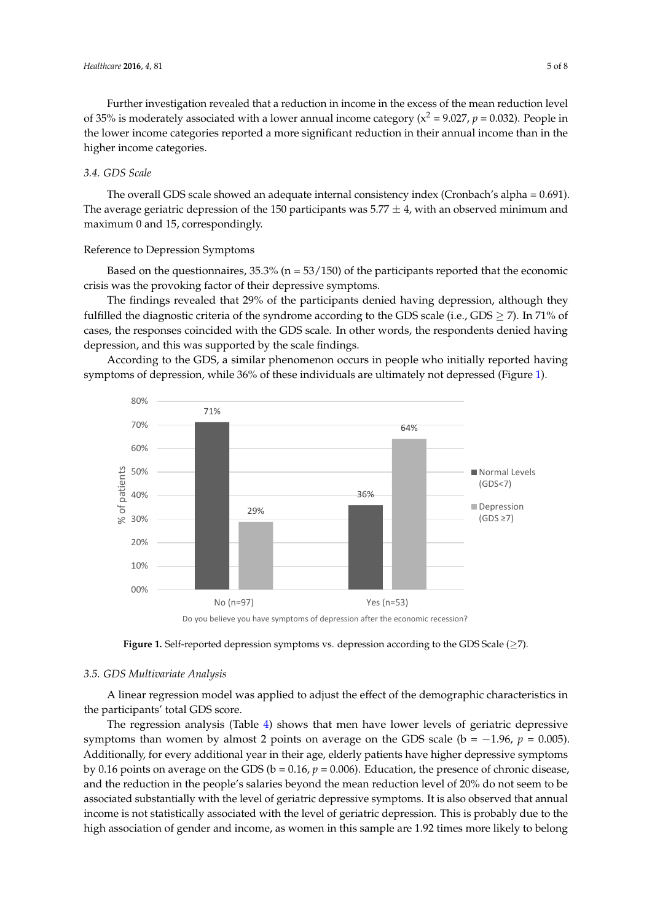Further investigation revealed that a reduction in income in the excess of the mean reduction level of 35% is moderately associated with a lower annual income category ( $x^2 = 9.027$ ,  $p = 0.032$ ). People in the lower income categories reported a more significant reduction in their annual income than in the higher income categories. Further investigation revealed that a reduction in income in the excess of the mean reduction Further investigation revealed that a reduction in income in the excess of the mean reduction level

# *3.4. GDS Scale 3.4. GDS Scale*

The overall GDS scale showed an adequate internal consistency index (Cronbach's alpha = 0.691). The overall GDS scale showed an adequate internal consistency index (Cronbach's alpha = The average geriatric depression of the 150 participants was  $5.77 \pm 4$ , with an observed minimum and maximum 0 and 15, correspondingly.

# Reference to Depression Symptoms Reference to Depression Symptoms

Based on the questionnaires, 35.3% (n = 53/150) of the participants reported that the economic Based on the questionnaires, 35.3% (n = 53/150) of the participants reported that the economic crisis was the provoking factor of their depressive symptoms. crisis was the provoking factor of their depressive symptoms.

The findings revealed that 29% of the participants denied having depression, although they The findings revealed that 29% of the participants denied having depression, although they fulfilled the diagnostic criteria of the syndrome according to the GDS scale (i.e., GDS  $\geq$  7). In 71% of cases, the responses coincided with the GDS scale. In other words, the respondents denied having cases, the responses coincided with the GDS scale. In other words, the respondents denied having depression, and this was supported by the scale findings. depression, and this was supported by the scale findings.

According to the GDS, a similar phenomenon occurs in people who initially reported having According to the GDS, a similar phenomenon occurs in people who initially reported having symptoms of depression, while 36% of these individuals are ultimately not depressed (Figure [1\)](#page-4-0). symptoms of depression, while 36% of these individuals are ultimately not depressed (Figure 1).

<span id="page-4-0"></span>



# *3.5. GDS Multivariate Analysis 3.5. GDS Multivariate Analysis*

A linear regression model was applied to adjust the effect of the demographic characteristics in A linear regression model was applied to adjust the effect of the demographic characteristics in the participants' total GDS score. the participants' total GDS score.

The regression analysis (Table 4) shows that men have lower levels of geriatric depressive The regression analysis (Table [4\)](#page-5-0) shows that men have lower levels of geriatric depressive symptoms than women by almost 2 points on average on the GDS scale (b = −1.96, *p* = 0.005). symptoms than women by almost 2 points on average on the GDS scale (b = −1.96, *p* = 0.005). Additionally, for every additional year in their age, elderly patients have higher depressive Additionally, for every additional year in their age, elderly patients have higher depressive symptoms by 0.16 points on average on the GDS ( $b = 0.16$ ,  $p = 0.006$ ). Education, the presence of chronic disease, and the reduction in the people's salaries beyond the mean reduction level of 20% do not seem to be associated substantially with the level of geriatric depressive symptoms. It is also observed that annual income is not statistically associated with the level of geriatric depression. This is probably due to the high association of gender and income, as women in this sample are 1.92 times more likely to belong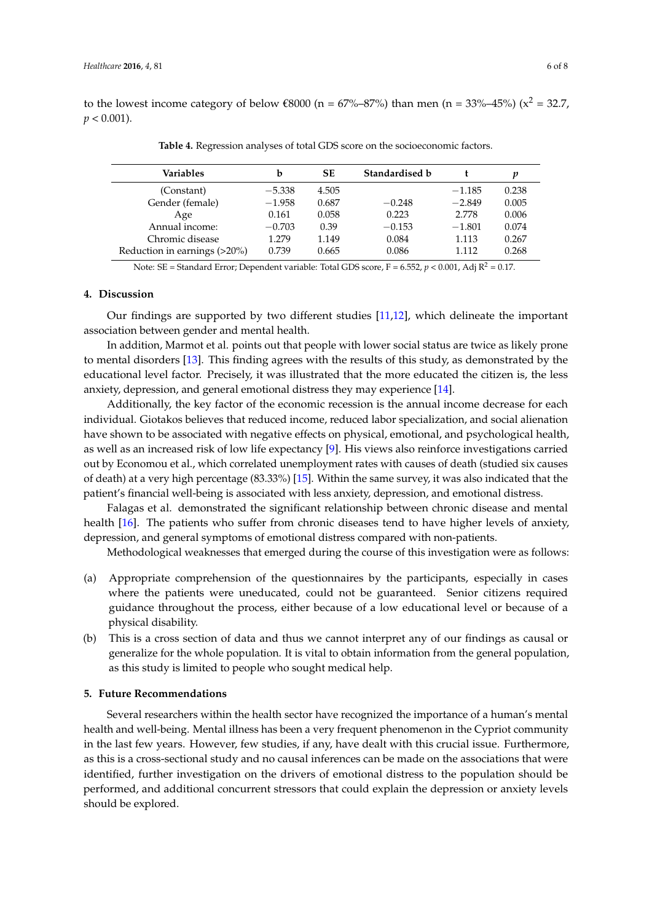<span id="page-5-0"></span>to the lowest income category of below  $\epsilon$ 8000 (n = 67%–87%) than men (n = 33%–45%) (x<sup>2</sup> = 32.7,  $p < 0.001$ ).

| Variables                    | b        | SЕ    | Standardised b |          | р     |
|------------------------------|----------|-------|----------------|----------|-------|
| (Constant)                   | $-5.338$ | 4.505 |                | $-1.185$ | 0.238 |
| Gender (female)              | $-1.958$ | 0.687 | $-0.248$       | $-2.849$ | 0.005 |
| Age                          | 0.161    | 0.058 | 0.223          | 2.778    | 0.006 |
| Annual income:               | $-0.703$ | 0.39  | $-0.153$       | $-1.801$ | 0.074 |
| Chromic disease              | 1.279    | 1.149 | 0.084          | 1.113    | 0.267 |
| Reduction in earnings (>20%) | 0.739    | 0.665 | 0.086          | 1.112    | 0.268 |

**Table 4.** Regression analyses of total GDS score on the socioeconomic factors.

Note: SE = Standard Error; Dependent variable: Total GDS score,  $F = 6.552$ ,  $p < 0.001$ , Adj  $R^2 = 0.17$ .

### **4. Discussion**

Our findings are supported by two different studies [\[11,](#page-7-1)[12\]](#page-7-2), which delineate the important association between gender and mental health.

In addition, Marmot et al. points out that people with lower social status are twice as likely prone to mental disorders [\[13\]](#page-7-3). This finding agrees with the results of this study, as demonstrated by the educational level factor. Precisely, it was illustrated that the more educated the citizen is, the less anxiety, depression, and general emotional distress they may experience [\[14\]](#page-7-4).

Additionally, the key factor of the economic recession is the annual income decrease for each individual. Giotakos believes that reduced income, reduced labor specialization, and social alienation have shown to be associated with negative effects on physical, emotional, and psychological health, as well as an increased risk of low life expectancy [\[9\]](#page-6-8). His views also reinforce investigations carried out by Economou et al., which correlated unemployment rates with causes of death (studied six causes of death) at a very high percentage (83.33%) [\[15\]](#page-7-5). Within the same survey, it was also indicated that the patient's financial well-being is associated with less anxiety, depression, and emotional distress.

Falagas et al. demonstrated the significant relationship between chronic disease and mental health [\[16\]](#page-7-6). The patients who suffer from chronic diseases tend to have higher levels of anxiety, depression, and general symptoms of emotional distress compared with non-patients.

Methodological weaknesses that emerged during the course of this investigation were as follows:

- (a) Appropriate comprehension of the questionnaires by the participants, especially in cases where the patients were uneducated, could not be guaranteed. Senior citizens required guidance throughout the process, either because of a low educational level or because of a physical disability.
- (b) This is a cross section of data and thus we cannot interpret any of our findings as causal or generalize for the whole population. It is vital to obtain information from the general population, as this study is limited to people who sought medical help.

### **5. Future Recommendations**

Several researchers within the health sector have recognized the importance of a human's mental health and well-being. Mental illness has been a very frequent phenomenon in the Cypriot community in the last few years. However, few studies, if any, have dealt with this crucial issue. Furthermore, as this is a cross-sectional study and no causal inferences can be made on the associations that were identified, further investigation on the drivers of emotional distress to the population should be performed, and additional concurrent stressors that could explain the depression or anxiety levels should be explored.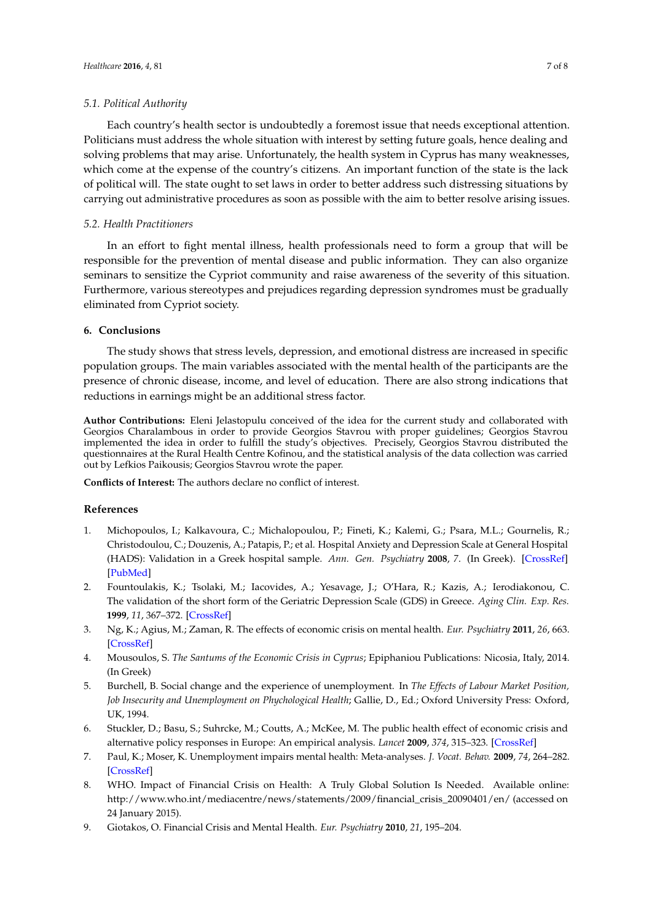### *5.1. Political Authority*

Each country's health sector is undoubtedly a foremost issue that needs exceptional attention. Politicians must address the whole situation with interest by setting future goals, hence dealing and solving problems that may arise. Unfortunately, the health system in Cyprus has many weaknesses, which come at the expense of the country's citizens. An important function of the state is the lack of political will. The state ought to set laws in order to better address such distressing situations by carrying out administrative procedures as soon as possible with the aim to better resolve arising issues.

# *5.2. Health Practitioners*

In an effort to fight mental illness, health professionals need to form a group that will be responsible for the prevention of mental disease and public information. They can also organize seminars to sensitize the Cypriot community and raise awareness of the severity of this situation. Furthermore, various stereotypes and prejudices regarding depression syndromes must be gradually eliminated from Cypriot society.

## **6. Conclusions**

The study shows that stress levels, depression, and emotional distress are increased in specific population groups. The main variables associated with the mental health of the participants are the presence of chronic disease, income, and level of education. There are also strong indications that reductions in earnings might be an additional stress factor.

**Author Contributions:** Eleni Jelastopulu conceived of the idea for the current study and collaborated with Georgios Charalambous in order to provide Georgios Stavrou with proper guidelines; Georgios Stavrou implemented the idea in order to fulfill the study's objectives. Precisely, Georgios Stavrou distributed the questionnaires at the Rural Health Centre Kofinou, and the statistical analysis of the data collection was carried out by Lefkios Paikousis; Georgios Stavrou wrote the paper.

**Conflicts of Interest:** The authors declare no conflict of interest.

### **References**

- <span id="page-6-0"></span>1. Michopoulos, I.; Kalkavoura, C.; Michalopoulou, P.; Fineti, K.; Kalemi, G.; Psara, M.L.; Gournelis, R.; Christodoulou, C.; Douzenis, A.; Patapis, P.; et al. Hospital Anxiety and Depression Scale at General Hospital (HADS): Validation in a Greek hospital sample. *Ann. Gen. Psychiatry* **2008**, *7*. (In Greek). [\[CrossRef\]](http://dx.doi.org/10.1186/1744-859X-7-4) [\[PubMed\]](http://www.ncbi.nlm.nih.gov/pubmed/18325093)
- <span id="page-6-1"></span>2. Fountoulakis, K.; Tsolaki, M.; Iacovides, A.; Yesavage, J.; O'Hara, R.; Kazis, A.; Ierodiakonou, C. The validation of the short form of the Geriatric Depression Scale (GDS) in Greece. *Aging Clin. Exp. Res.* **1999**, *11*, 367–372. [\[CrossRef\]](http://dx.doi.org/10.1007/BF03339814)
- <span id="page-6-2"></span>3. Ng, K.; Agius, M.; Zaman, R. The effects of economic crisis on mental health. *Eur. Psychiatry* **2011**, *26*, 663. [\[CrossRef\]](http://dx.doi.org/10.1016/S0924-9338(11)72369-0)
- <span id="page-6-3"></span>4. Mousoulos, S. *The Santums of the Economic Crisis in Cyprus*; Epiphaniou Publications: Nicosia, Italy, 2014. (In Greek)
- <span id="page-6-4"></span>5. Burchell, B. Social change and the experience of unemployment. In *The Effects of Labour Market Position,* Job Insecurity and Unemployment on Phychological Health; Gallie, D., Ed.; Oxford University Press: Oxford, UK, 1994.
- <span id="page-6-5"></span>6. Stuckler, D.; Basu, S.; Suhrcke, M.; Coutts, A.; McKee, M. The public health effect of economic crisis and alternative policy responses in Europe: An empirical analysis. *Lancet* **2009**, *374*, 315–323. [\[CrossRef\]](http://dx.doi.org/10.1016/S0140-6736(09)61124-7)
- <span id="page-6-6"></span>7. Paul, K.; Moser, K. Unemployment impairs mental health: Meta-analyses. *J. Vocat. Behav.* **2009**, *74*, 264–282. [\[CrossRef\]](http://dx.doi.org/10.1016/j.jvb.2009.01.001)
- <span id="page-6-7"></span>8. WHO. Impact of Financial Crisis on Health: A Truly Global Solution Is Needed. Available online: [http://www.who.int/mediacentre/news/statements/2009/financial\\_crisis\\_20090401/en/](http://www.who.int/mediacentre/news/statements/2009/financial_crisis_20090401/en/) (accessed on 24 January 2015).
- <span id="page-6-8"></span>9. Giotakos, O. Financial Crisis and Mental Health. *Eur. Psychiatry* **2010**, *21*, 195–204.